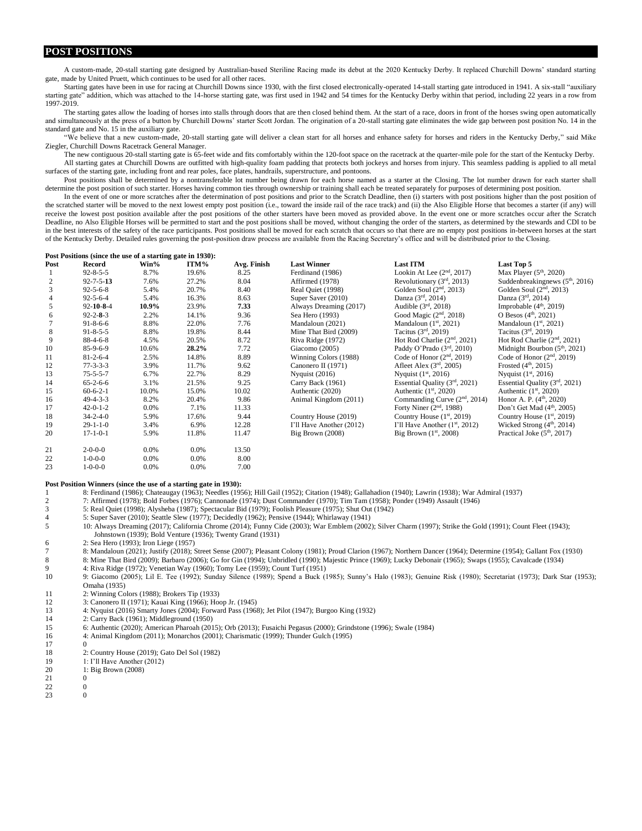## **POST POSITIONS**

A custom-made, 20-stall starting gate designed by Australian-based Steriline Racing made its debut at the 2020 Kentucky Derby. It replaced Churchill Downs' standard starting gate, made by United Pruett, which continues to be used for all other races.

Starting gates have been in use for racing at Churchill Downs since 1930, with the first closed electronically-operated 14-stall starting gate introduced in 1941. A six-stall "auxiliary starting gate" addition, which was attached to the 14-horse starting gate, was first used in 1942 and 54 times for the Kentucky Derby within that period, including 22 years in a row from 1997-2019.

The starting gates allow the loading of horses into stalls through doors that are then closed behind them. At the start of a race, doors in front of the horses swing open automatically and simultaneously at the press of a button by Churchill Downs' starter Scott Jordan. The origination of a 20-stall starting gate eliminates the wide gap between post position No. 14 in the standard gate and No. 15 in the auxiliary gate.

"We believe that a new custom-made, 20-stall starting gate will deliver a clean start for all horses and enhance safety for horses and riders in the Kentucky Derby," said Mike Ziegler, Churchill Downs Racetrack General Manager.

The new contiguous 20-stall starting gate is 65-feet wide and fits comfortably within the 120-foot space on the racetrack at the quarter-mile pole for the start of the Kentucky Derby. All starting gates at Churchill Downs are outfitted with high-quality foam padding that protects both jockeys and horses from injury. This seamless padding is applied to all metal surfaces of the starting gate, including front and rear poles, face plates, handrails, superstructure, and pontoons.

Post positions shall be determined by a nontransferable lot number being drawn for each horse named as a starter at the Closing. The lot number drawn for each starter shall determine the post position of such starter. Horses having common ties through ownership or training shall each be treated separately for purposes of determining post position.

In the event of one or more scratches after the determination of post positions and prior to the Scratch Deadline, then (i) starters with post positions higher than the post position of the scratched starter will be moved to the next lowest empty post position (i.e., toward the inside rail of the race track) and (ii) the Also Eligible Horse that becomes a starter (if any) will receive the lowest post position available after the post positions of the other starters have been moved as provided above. In the event one or more scratches occur after the Scratch Deadline, no Also Eligible Horses will be permitted to start and the post positions shall be moved, without changing the order of the starters, as determined by the stewards and CDI to be in the best interests of the safety of the race participants. Post positions shall be moved for each scratch that occurs so that there are no empty post positions in-between horses at the start of the Kentucky Derby. Detailed rules governing the post-position draw process are available from the Racing Secretary's office and will be distributed prior to the Closing.

|                | Post Positions (since the use of a starting gate in 1930): |         |          |             |                          |                                 |                                  |
|----------------|------------------------------------------------------------|---------|----------|-------------|--------------------------|---------------------------------|----------------------------------|
| Post           | Record                                                     | Win%    | ITM%     | Avg. Finish | <b>Last Winner</b>       | <b>Last ITM</b>                 | Last Top 5                       |
|                | $92 - 8 - 5 - 5$                                           | 8.7%    | 19.6%    | 8.25        | Ferdinand (1986)         | Lookin At Lee $(2nd, 2017)$     | Max Player $(5th, 2020)$         |
| $\overline{c}$ | $92 - 7 - 5 - 13$                                          | 7.6%    | 27.2%    | 8.04        | Affirmed (1978)          | Revolutionary $(3rd, 2013)$     | Suddenbreakingnews $(5th, 2016)$ |
| 3              | $92 - 5 - 6 - 8$                                           | 5.4%    | 20.7%    | 8.40        | Real Quiet (1998)        | Golden Soul $(2nd, 2013)$       | Golden Soul $(2nd, 2013)$        |
| 4              | $92 - 5 - 6 - 4$                                           | 5.4%    | 16.3%    | 8.63        | Super Saver (2010)       | Danza $(3^{rd}, 2014)$          | Danza $(3^{rd}, 2014)$           |
| 5              | $92 - 10 - 8 - 4$                                          | 10.9%   | 23.9%    | 7.33        | Always Dreaming (2017)   | Audible $(3rd, 2018)$           | Improbable $(4th, 2019)$         |
| 6              | $92 - 2 - 8 - 3$                                           | 2.2%    | 14.1%    | 9.36        | Sea Hero (1993)          | Good Magic $(2nd, 2018)$        | O Besos $(4th, 2021)$            |
|                | $91 - 8 - 6 - 6$                                           | 8.8%    | 22.0%    | 7.76        | Mandaloun (2021)         | Mandaloun $(1st, 2021)$         | Mandaloun $(1st, 2021)$          |
| 8              | $91 - 8 - 5 - 5$                                           | 8.8%    | 19.8%    | 8.44        | Mine That Bird (2009)    | Tacitus $(3rd, 2019)$           | Tacitus $(3rd, 2019)$            |
| 9              | $88-4-6-8$                                                 | 4.5%    | 20.5%    | 8.72        | Riva Ridge (1972)        | Hot Rod Charlie $(2nd, 2021)$   | Hot Rod Charlie $(2nd, 2021)$    |
| 10             | $85-9-6-9$                                                 | 10.6%   | $28.2\%$ | 7.72        | Giacomo (2005)           | Paddy O'Prado $(3rd, 2010)$     | Midnight Bourbon $(5th, 2021)$   |
| 11             | $81 - 2 - 6 - 4$                                           | 2.5%    | 14.8%    | 8.89        | Winning Colors (1988)    | Code of Honor $(2nd, 2019)$     | Code of Honor $(2nd, 2019)$      |
| 12             | $77 - 3 - 3 - 3$                                           | 3.9%    | 11.7%    | 9.62        | Canonero II (1971)       | Afleet Alex $(3rd, 2005)$       | Frosted $(4th, 2015)$            |
| 13             | $75 - 5 - 5 - 7$                                           | 6.7%    | 22.7%    | 8.29        | Nyquist $(2016)$         | Nyquist $(1^{st}, 2016)$        | Nyquist $(1^{st}, 2016)$         |
| 14             | $65-2-6-6$                                                 | 3.1%    | 21.5%    | 9.25        | Carry Back (1961)        | Essential Quality $(3rd, 2021)$ | Essential Quality $(3rd, 2021)$  |
| 15             | $60 - 6 - 2 - 1$                                           | 10.0%   | 15.0%    | 10.02       | Authentic (2020)         | Authentic $(1st, 2020)$         | Authentic $(1st, 2020)$          |
| 16             | $49 - 4 - 3 - 3$                                           | 8.2%    | 20.4%    | 9.86        | Animal Kingdom (2011)    | Commanding Curve $(2nd, 2014)$  | Honor A. P. $(4th, 2020)$        |
| 17             | $42 - 0 - 1 - 2$                                           | $0.0\%$ | 7.1%     | 11.33       |                          | Forty Niner $(2nd, 1988)$       | Don't Get Mad $(4th, 2005)$      |
| 18             | $34 - 2 - 4 - 0$                                           | 5.9%    | 17.6%    | 9.44        | Country House (2019)     | Country House $(1st, 2019)$     | Country House $(1st, 2019)$      |
| 19             | $29-1-1-0$                                                 | 3.4%    | 6.9%     | 12.28       | I'll Have Another (2012) | I'll Have Another $(1st, 2012)$ | Wicked Strong $(4th, 2014)$      |
| 20             | $17 - 1 - 0 - 1$                                           | 5.9%    | 11.8%    | 11.47       | Big Brown (2008)         | Big Brown $(1st, 2008)$         | Practical Joke $(5th, 2017)$     |
| 21             | $2 - 0 - 0 - 0$                                            | $0.0\%$ | 0.0%     | 13.50       |                          |                                 |                                  |
| 22             | $1 - 0 - 0 - 0$                                            | $0.0\%$ | $0.0\%$  | 8.00        |                          |                                 |                                  |
| 23             | $1 - 0 - 0 - 0$                                            | $0.0\%$ | 0.0%     | 7.00        |                          |                                 |                                  |

## **Post Position Winners (since the use of a starting gate in 1930):**

1 8: Ferdinand (1986); Chateaugay (1963); Needles (1956); Hill Gail (1952); Citation (1948); Gallahadion (1940); Lawrin (1938); War Admiral (1937)

2 7: Affirmed (1978); Bold Forbes (1976); Cannonade (1974); Dust Commander (1970); Tim Tam (1958); Ponder (1949) Assault (1946)

3 5: Real Quiet (1998); Alysheba (1987); Spectacular Bid (1979); Foolish Pleasure (1975); Shut Out (1942)

5: Super Saver (2010); Seattle Slew (1977); Decidedly (1962); Pensive (1944); Whirlaway (1941)

5 10: Always Dreaming (2017); California Chrome (2014); Funny Cide (2003); War Emblem (2002); Silver Charm (1997); Strike the Gold (1991); Count Fleet (1943); Johnstown (1939); Bold Venture (1936); Twenty Grand (1931)

6 2: Sea Hero (1993); Iron Liege (1957)

7 8: Mandaloun (2021); Justify (2018); Street Sense (2007); Pleasant Colony (1981); Proud Clarion (1967); Northern Dancer (1964); Determine (1954); Gallant Fox (1930) 8 8: Mine That Bird (2009); Barbaro (2006); Go for Gin (1994); Unbridled (1990); Majestic Prince (1969); Lucky Debonair (1965); Swaps (1955); Cavalcade (1934)

9 4: Riva Ridge (1972); Venetian Way (1960); Tomy Lee (1959); Count Turf (1951) 10 9: Giacomo (2005); Lil E. Tee (1992); Sunday Silence (1989); Spend a Buck (1985); Sunny's Halo (1983); Genuine Risk (1980); Secretariat (1973); Dark Star (1953); Omaha (1935)

- 11 2: Winning Colors (1988); Brokers Tip (1933)
- 12 3: Canonero II (1971); Kauai King (1966); Hoop Jr. (1945)<br>13 4: Nyquist (2016) Smarty Jones (2004): Forward Pass (1968
- 13 4: Nyquist (2016) Smarty Jones (2004); Forward Pass (1968); Jet Pilot (1947); Burgoo King (1932)
- 14 2: Carry Back (1961); Middleground (1950)
- 15 6: Authentic (2020); American Pharoah (2015); Orb (2013); Fusaichi Pegasus (2000); Grindstone (1996); Swale (1984)
- 16 4: Animal Kingdom (2011); Monarchos (2001); Charismatic (1999); Thunder Gulch (1995)
- $17$
- 18 2: Country House (2019); Gato Del Sol (1982)
- 19 1: I'll Have Another (2012)<br>20 1: Big Brown (2008)
- 1: Big Brown (2008)
- 21 0
- 22 0
- 23 0